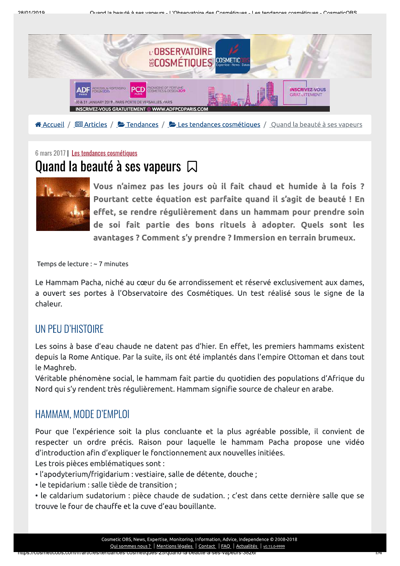

<mark>谷 Accueil / □ Articles / と Tendances / と Les tendances cosmétiques / Quand la beauté à ses vapeurs</mark>

## 6 mars 2017 | Les tendances cosmétiques Quand la beauté à ses vapeurs  $\Box$



Vous n'aimez pas les jours où il fait chaud et humide à la fois ? Pourtant cette équation est parfaite quand il s'agit de beauté ! En effet, se rendre régulièrement dans un hammam pour prendre soin de soi fait partie des bons rituels à adopter. Quels sont les avantages? Comment s'y prendre? Immersion en terrain brumeux.

Temps de lecture : ~ 7 minutes

Le Hammam Pacha, niché au cœur du 6e arrondissement et réservé exclusivement aux dames, a ouvert ses portes à l'Observatoire des Cosmétiques. Un test réalisé sous le signe de la chaleur.

## UN PEU D'HISTOIRE

Les soins à base d'eau chaude ne datent pas d'hier. En effet, les premiers hammams existent depuis la Rome Antique. Par la suite, ils ont été implantés dans l'empire Ottoman et dans tout le Maghreb.

Véritable phénomène social, le hammam fait partie du quotidien des populations d'Afrique du Nord qui s'y rendent très régulièrement. Hammam signifie source de chaleur en arabe.

## HAMMAM, MODE D'EMPLOI

Pour que l'expérience soit la plus concluante et la plus agréable possible, il convient de respecter un ordre précis. Raison pour laquelle le hammam Pacha propose une vidéo d'introduction afin d'expliquer le fonctionnement aux nouvelles initiées.

Les trois pièces emblématiques sont :

- · l'apodyterium/frigidarium : vestiaire, salle de détente, douche ;
- · le tepidarium : salle tiède de transition :
- · le caldarium sudatorium : pièce chaude de sudation. ; c'est dans cette dernière salle que se trouve le four de chauffe et la cuve d'eau bouillante.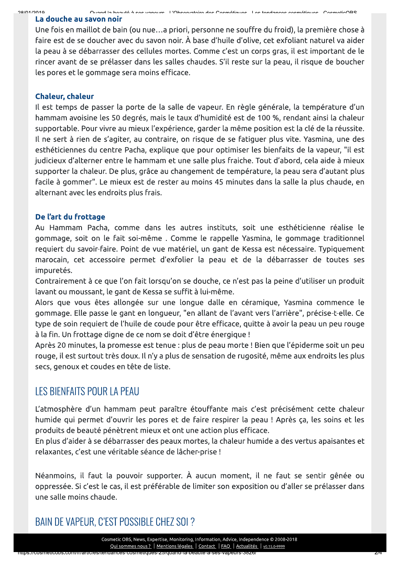20/01/2010

Quand la hoquté à con vanoure . L'Observatoire des Cosmétiques - Les tendances cosmétiques

### La douche au savon noir

Une fois en maillot de bain (ou nue...a priori, personne ne souffre du froid), la première chose à faire est de se doucher avec du savon noir. À base d'huile d'olive, cet exfoliant naturel va aider la peau à se débarrasser des cellules mortes. Comme c'est un corps gras, il est important de le rincer avant de se prélasser dans les salles chaudes. S'il reste sur la peau, il risque de boucher les pores et le gommage sera moins efficace.

#### **Chaleur, chaleur**

Il est temps de passer la porte de la salle de vapeur. En règle générale, la température d'un hammam avoisine les 50 degrés, mais le taux d'humidité est de 100 %, rendant ainsi la chaleur supportable. Pour vivre au mieux l'expérience, garder la même position est la clé de la réussite. Il ne sert à rien de s'agiter, au contraire, on risque de se fatiguer plus vite. Yasmina, une des esthéticiennes du centre Pacha, explique que pour optimiser les bienfaits de la vapeur, "il est judicieux d'alterner entre le hammam et une salle plus fraiche. Tout d'abord, cela aide à mieux supporter la chaleur. De plus, grâce au changement de température, la peau sera d'autant plus facile à gommer". Le mieux est de rester au moins 45 minutes dans la salle la plus chaude, en alternant avec les endroits plus frais.

#### De l'art du frottage

Au Hammam Pacha, comme dans les autres instituts, soit une esthéticienne réalise le gommage, soit on le fait soi-même. Comme le rappelle Yasmina, le gommage traditionnel requiert du savoir-faire. Point de vue matériel, un gant de Kessa est nécessaire. Typiquement marocain, cet accessoire permet d'exfolier la peau et de la débarrasser de toutes ses impuretés.

Contrairement à ce que l'on fait lorsqu'on se douche, ce n'est pas la peine d'utiliser un produit lavant ou moussant, le gant de Kessa se suffit à lui-même.

Alors que vous êtes allongée sur une longue dalle en céramique, Yasmina commence le gommage. Elle passe le gant en longueur, "en allant de l'avant vers l'arrière", précise-t-elle. Ce type de soin requiert de l'huile de coude pour être efficace, quitte à avoir la peau un peu rouge à la fin. Un frottage digne de ce nom se doit d'être énergique !

Après 20 minutes, la promesse est tenue : plus de peau morte ! Bien que l'épiderme soit un peu rouge, il est surtout très doux. Il n'y a plus de sensation de rugosité, même aux endroits les plus secs, genoux et coudes en tête de liste.

## LES BIENFAITS POUR LA PEAU

s.//cosmencoos.com/manuals/tenuanc(

L'atmosphère d'un hammam peut paraître étouffante mais c'est précisément cette chaleur humide qui permet d'ouvrir les pores et de faire respirer la peau ! Après ça, les soins et les produits de beauté pénètrent mieux et ont une action plus efficace.

En plus d'aider à se débarrasser des peaux mortes, la chaleur humide a des vertus apaisantes et relaxantes, c'est une véritable séance de lâcher-prise !

Néanmoins, il faut la pouvoir supporter. À aucun moment, il ne faut se sentir gênée ou oppressée. Si c'est le cas, il est préférable de limiter son exposition ou d'aller se prélasser dans une salle moins chaude.

BAIN DE VAPEUR, C'EST POSSIBLE CHEZ SOI ?

Cosmetic OBS, News, Expertise, Monitoring, Information, Advice, Independence © 2008-2018 Qui sommes nous ? | Mentions légales | Contact | FAQ | Actualités | v0.15.0-9999